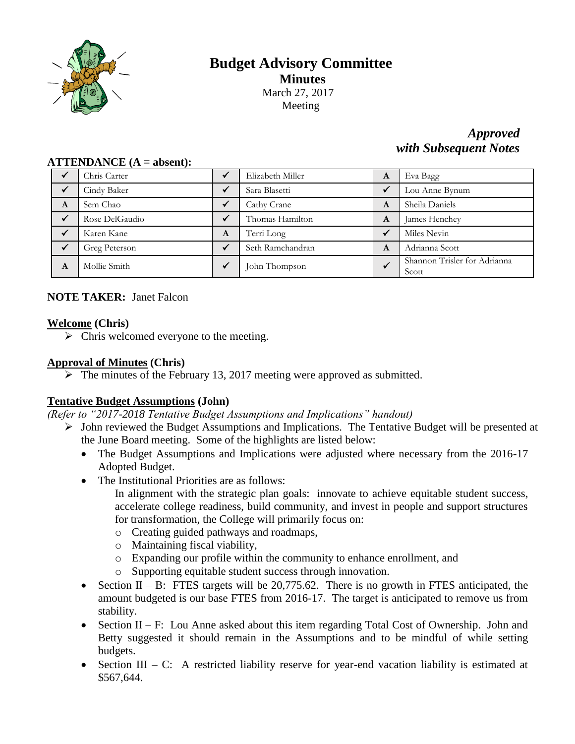

# **Budget Advisory Committee Minutes** March 27, 2017 Meeting

# *Approved with Subsequent Notes*

|   | Chris Carter   |   | Elizabeth Miller | A            | Eva Bagg                              |
|---|----------------|---|------------------|--------------|---------------------------------------|
|   | Cindy Baker    |   | Sara Blasetti    | $\checkmark$ | Lou Anne Bynum                        |
| A | Sem Chao       |   | Cathy Crane      | A            | Sheila Daniels                        |
|   | Rose DelGaudio |   | Thomas Hamilton  | A            | James Henchey                         |
|   | Karen Kane     | A | Terri Long       | $\checkmark$ | Miles Nevin                           |
|   | Greg Peterson  |   | Seth Ramchandran | A            | Adrianna Scott                        |
| A | Mollie Smith   |   | John Thompson    | $\checkmark$ | Shannon Trisler for Adrianna<br>Scott |

## **ATTENDANCE (A = absent):**

# **NOTE TAKER:** Janet Falcon

## **Welcome (Chris)**

 $\triangleright$  Chris welcomed everyone to the meeting.

## **Approval of Minutes (Chris)**

 $\triangleright$  The minutes of the February 13, 2017 meeting were approved as submitted.

## **Tentative Budget Assumptions (John)**

*(Refer to "2017-2018 Tentative Budget Assumptions and Implications" handout)*

- John reviewed the Budget Assumptions and Implications. The Tentative Budget will be presented at the June Board meeting. Some of the highlights are listed below:
	- The Budget Assumptions and Implications were adjusted where necessary from the 2016-17 Adopted Budget.
	- The Institutional Priorities are as follows:
		- In alignment with the strategic plan goals: innovate to achieve equitable student success, accelerate college readiness, build community, and invest in people and support structures for transformation, the College will primarily focus on:
		- o Creating guided pathways and roadmaps,
		- o Maintaining fiscal viability,
		- o Expanding our profile within the community to enhance enrollment, and
		- o Supporting equitable student success through innovation.
	- Section II B: FTES targets will be  $20,775.62$ . There is no growth in FTES anticipated, the amount budgeted is our base FTES from 2016-17. The target is anticipated to remove us from stability.
	- Section II F: Lou Anne asked about this item regarding Total Cost of Ownership. John and Betty suggested it should remain in the Assumptions and to be mindful of while setting budgets.
	- Section III C: A restricted liability reserve for year-end vacation liability is estimated at \$567,644.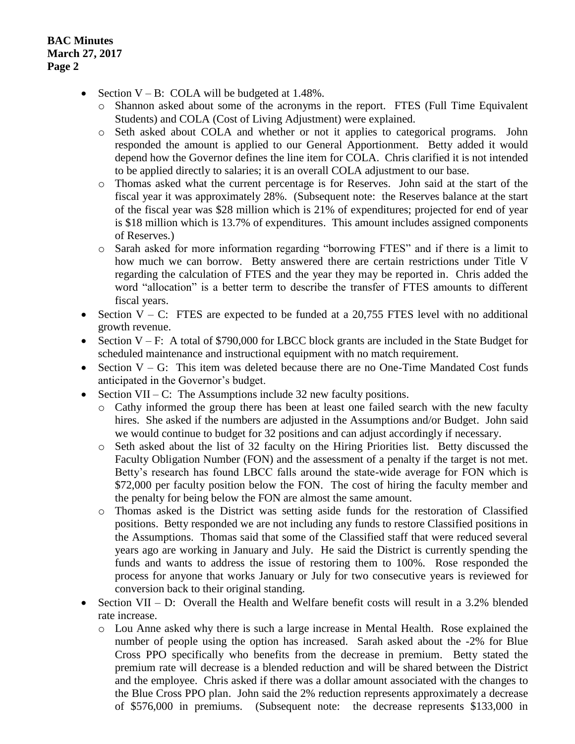- Section  $V B$ : COLA will be budgeted at 1.48%.
	- o Shannon asked about some of the acronyms in the report. FTES (Full Time Equivalent Students) and COLA (Cost of Living Adjustment) were explained.
	- o Seth asked about COLA and whether or not it applies to categorical programs. John responded the amount is applied to our General Apportionment. Betty added it would depend how the Governor defines the line item for COLA. Chris clarified it is not intended to be applied directly to salaries; it is an overall COLA adjustment to our base.
	- o Thomas asked what the current percentage is for Reserves. John said at the start of the fiscal year it was approximately 28%. (Subsequent note: the Reserves balance at the start of the fiscal year was \$28 million which is 21% of expenditures; projected for end of year is \$18 million which is 13.7% of expenditures. This amount includes assigned components of Reserves.)
	- o Sarah asked for more information regarding "borrowing FTES" and if there is a limit to how much we can borrow. Betty answered there are certain restrictions under Title V regarding the calculation of FTES and the year they may be reported in. Chris added the word "allocation" is a better term to describe the transfer of FTES amounts to different fiscal years.
- Section  $V C$ : FTES are expected to be funded at a 20,755 FTES level with no additional growth revenue.
- Section  $V F$ : A total of \$790,000 for LBCC block grants are included in the State Budget for scheduled maintenance and instructional equipment with no match requirement.
- Section  $V G$ : This item was deleted because there are no One-Time Mandated Cost funds anticipated in the Governor's budget.
- Section VII C: The Assumptions include 32 new faculty positions.
	- o Cathy informed the group there has been at least one failed search with the new faculty hires. She asked if the numbers are adjusted in the Assumptions and/or Budget. John said we would continue to budget for 32 positions and can adjust accordingly if necessary.
	- o Seth asked about the list of 32 faculty on the Hiring Priorities list. Betty discussed the Faculty Obligation Number (FON) and the assessment of a penalty if the target is not met. Betty's research has found LBCC falls around the state-wide average for FON which is \$72,000 per faculty position below the FON. The cost of hiring the faculty member and the penalty for being below the FON are almost the same amount.
	- o Thomas asked is the District was setting aside funds for the restoration of Classified positions. Betty responded we are not including any funds to restore Classified positions in the Assumptions. Thomas said that some of the Classified staff that were reduced several years ago are working in January and July. He said the District is currently spending the funds and wants to address the issue of restoring them to 100%. Rose responded the process for anyone that works January or July for two consecutive years is reviewed for conversion back to their original standing.
- Section VII D: Overall the Health and Welfare benefit costs will result in a 3.2% blended rate increase.
	- o Lou Anne asked why there is such a large increase in Mental Health. Rose explained the number of people using the option has increased. Sarah asked about the -2% for Blue Cross PPO specifically who benefits from the decrease in premium. Betty stated the premium rate will decrease is a blended reduction and will be shared between the District and the employee. Chris asked if there was a dollar amount associated with the changes to the Blue Cross PPO plan. John said the 2% reduction represents approximately a decrease of \$576,000 in premiums. (Subsequent note: the decrease represents \$133,000 in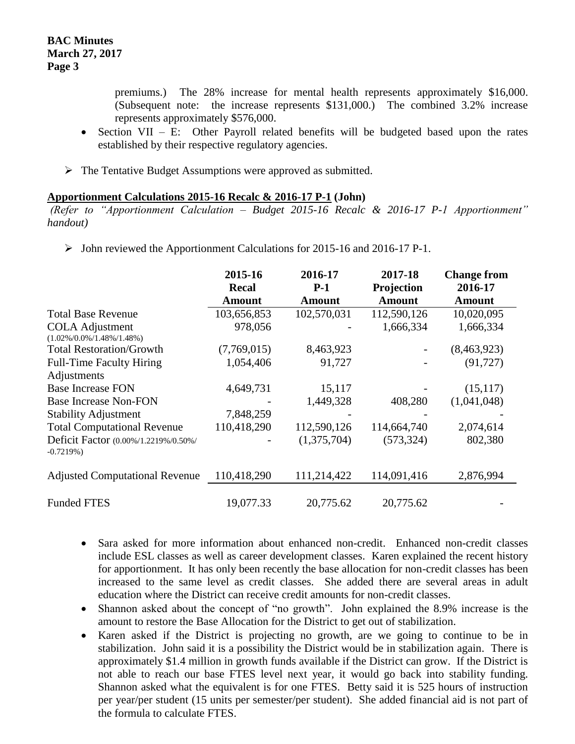premiums.) The 28% increase for mental health represents approximately \$16,000. (Subsequent note: the increase represents \$131,000.) The combined 3.2% increase represents approximately \$576,000.

- Section VII E: Other Payroll related benefits will be budgeted based upon the rates established by their respective regulatory agencies.
- $\triangleright$  The Tentative Budget Assumptions were approved as submitted.

### **Apportionment Calculations 2015-16 Recalc & 2016-17 P-1 (John)**

*(Refer to "Apportionment Calculation – Budget 2015-16 Recalc & 2016-17 P-1 Apportionment" handout)*

 $\triangleright$  John reviewed the Apportionment Calculations for 2015-16 and 2016-17 P-1.

|                                                          | 2015-16<br><b>Recal</b> | 2016-17<br>$P-1$ | 2017-18<br>Projection | <b>Change from</b><br>2016-17 |
|----------------------------------------------------------|-------------------------|------------------|-----------------------|-------------------------------|
|                                                          | <b>Amount</b>           | <b>Amount</b>    | <b>Amount</b>         | <b>Amount</b>                 |
| <b>Total Base Revenue</b>                                | 103,656,853             | 102,570,031      | 112,590,126           | 10,020,095                    |
| <b>COLA</b> Adjustment<br>$(1.02\%/0.0\%/1.48\%/1.48\%)$ | 978,056                 |                  | 1,666,334             | 1,666,334                     |
| <b>Total Restoration/Growth</b>                          | (7,769,015)             | 8,463,923        |                       | (8,463,923)                   |
| <b>Full-Time Faculty Hiring</b><br>Adjustments           | 1,054,406               | 91,727           |                       | (91, 727)                     |
| <b>Base Increase FON</b>                                 | 4,649,731               | 15,117           |                       | (15, 117)                     |
| <b>Base Increase Non-FON</b>                             |                         | 1,449,328        | 408,280               | (1,041,048)                   |
| <b>Stability Adjustment</b>                              | 7,848,259               |                  |                       |                               |
| <b>Total Computational Revenue</b>                       | 110,418,290             | 112,590,126      | 114,664,740           | 2,074,614                     |
| Deficit Factor (0.00%/1.2219%/0.50%/<br>$-0.7219%$       |                         | (1,375,704)      | (573, 324)            | 802,380                       |
| <b>Adjusted Computational Revenue</b>                    | 110,418,290             | 111,214,422      | 114,091,416           | 2,876,994                     |
| <b>Funded FTES</b>                                       | 19,077.33               | 20,775.62        | 20,775.62             |                               |

- Sara asked for more information about enhanced non-credit. Enhanced non-credit classes include ESL classes as well as career development classes. Karen explained the recent history for apportionment. It has only been recently the base allocation for non-credit classes has been increased to the same level as credit classes. She added there are several areas in adult education where the District can receive credit amounts for non-credit classes.
- Shannon asked about the concept of "no growth". John explained the 8.9% increase is the amount to restore the Base Allocation for the District to get out of stabilization.
- Karen asked if the District is projecting no growth, are we going to continue to be in stabilization. John said it is a possibility the District would be in stabilization again. There is approximately \$1.4 million in growth funds available if the District can grow. If the District is not able to reach our base FTES level next year, it would go back into stability funding. Shannon asked what the equivalent is for one FTES. Betty said it is 525 hours of instruction per year/per student (15 units per semester/per student). She added financial aid is not part of the formula to calculate FTES.